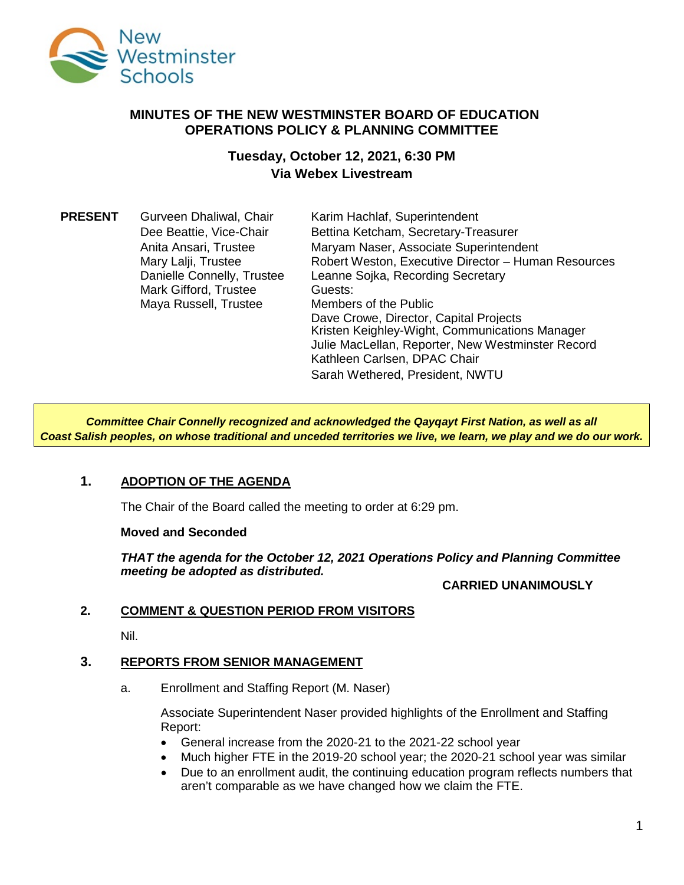

## **MINUTES OF THE NEW WESTMINSTER BOARD OF EDUCATION OPERATIONS POLICY & PLANNING COMMITTEE**

# **Tuesday, October 12, 2021, 6:30 PM Via Webex Livestream**

| <b>PRESENT</b> | Gurveen Dhaliwal, Chair    | Karim Hachlaf, Superintendent                       |
|----------------|----------------------------|-----------------------------------------------------|
|                | Dee Beattie, Vice-Chair    | Bettina Ketcham, Secretary-Treasurer                |
|                | Anita Ansari, Trustee      | Maryam Naser, Associate Superintendent              |
|                | Mary Lalji, Trustee        | Robert Weston, Executive Director - Human Resources |
|                | Danielle Connelly, Trustee | Leanne Sojka, Recording Secretary                   |
|                | Mark Gifford, Trustee      | Guests:                                             |
|                | Maya Russell, Trustee      | Members of the Public                               |
|                |                            | Dave Crowe, Director, Capital Projects              |
|                |                            | Kristen Keighley-Wight, Communications Manager      |
|                |                            | Julie MacLellan, Reporter, New Westminster Record   |
|                |                            | Kathleen Carlsen, DPAC Chair                        |
|                |                            | Sarah Wethered, President, NWTU                     |

*Committee Chair Connelly recognized and acknowledged the Qayqayt First Nation, as well as all Coast Salish peoples, on whose traditional and unceded territories we live, we learn, we play and we do our work.*

## **1. ADOPTION OF THE AGENDA**

The Chair of the Board called the meeting to order at 6:29 pm.

## **Moved and Seconded**

*THAT the agenda for the October 12, 2021 Operations Policy and Planning Committee meeting be adopted as distributed.*

## **CARRIED UNANIMOUSLY**

## **2. COMMENT & QUESTION PERIOD FROM VISITORS**

Nil.

## **3. REPORTS FROM SENIOR MANAGEMENT**

a. Enrollment and Staffing Report (M. Naser)

Associate Superintendent Naser provided highlights of the Enrollment and Staffing Report:

- General increase from the 2020-21 to the 2021-22 school year
- Much higher FTE in the 2019-20 school year; the 2020-21 school year was similar
- Due to an enrollment audit, the continuing education program reflects numbers that aren't comparable as we have changed how we claim the FTE.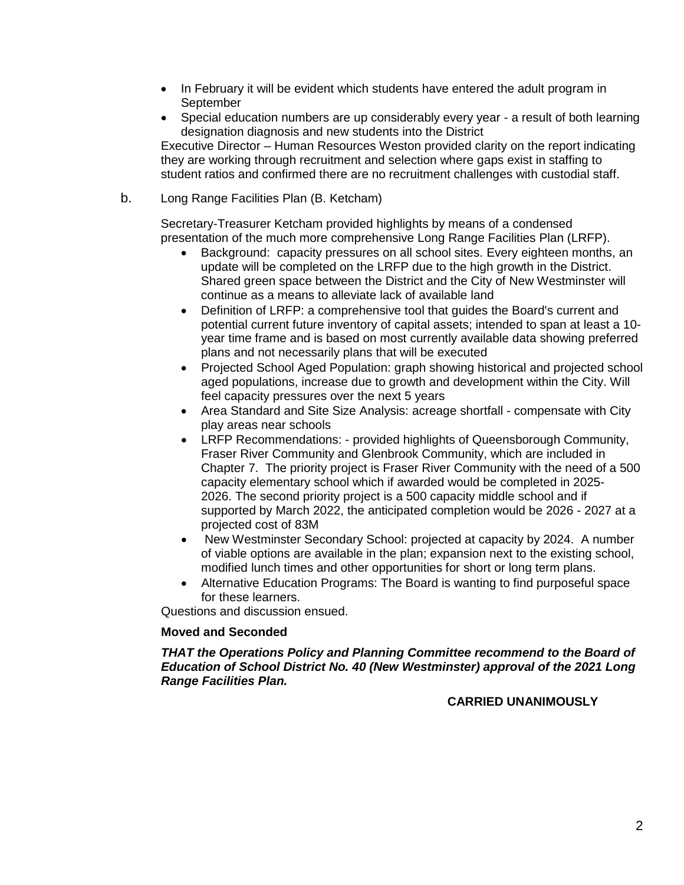- In February it will be evident which students have entered the adult program in September
- Special education numbers are up considerably every year a result of both learning designation diagnosis and new students into the District

Executive Director – Human Resources Weston provided clarity on the report indicating they are working through recruitment and selection where gaps exist in staffing to student ratios and confirmed there are no recruitment challenges with custodial staff.

b. Long Range Facilities Plan (B. Ketcham)

Secretary-Treasurer Ketcham provided highlights by means of a condensed presentation of the much more comprehensive Long Range Facilities Plan (LRFP).

- Background: capacity pressures on all school sites. Every eighteen months, an update will be completed on the LRFP due to the high growth in the District. Shared green space between the District and the City of New Westminster will continue as a means to alleviate lack of available land
- Definition of LRFP: a comprehensive tool that guides the Board's current and potential current future inventory of capital assets; intended to span at least a 10 year time frame and is based on most currently available data showing preferred plans and not necessarily plans that will be executed
- Projected School Aged Population: graph showing historical and projected school aged populations, increase due to growth and development within the City. Will feel capacity pressures over the next 5 years
- Area Standard and Site Size Analysis: acreage shortfall compensate with City play areas near schools
- LRFP Recommendations: provided highlights of Queensborough Community, Fraser River Community and Glenbrook Community, which are included in Chapter 7. The priority project is Fraser River Community with the need of a 500 capacity elementary school which if awarded would be completed in 2025- 2026. The second priority project is a 500 capacity middle school and if supported by March 2022, the anticipated completion would be 2026 - 2027 at a projected cost of 83M
- New Westminster Secondary School: projected at capacity by 2024. A number of viable options are available in the plan; expansion next to the existing school, modified lunch times and other opportunities for short or long term plans.
- Alternative Education Programs: The Board is wanting to find purposeful space for these learners.

Questions and discussion ensued.

## **Moved and Seconded**

*THAT the Operations Policy and Planning Committee recommend to the Board of Education of School District No. 40 (New Westminster) approval of the 2021 Long Range Facilities Plan.*

## **CARRIED UNANIMOUSLY**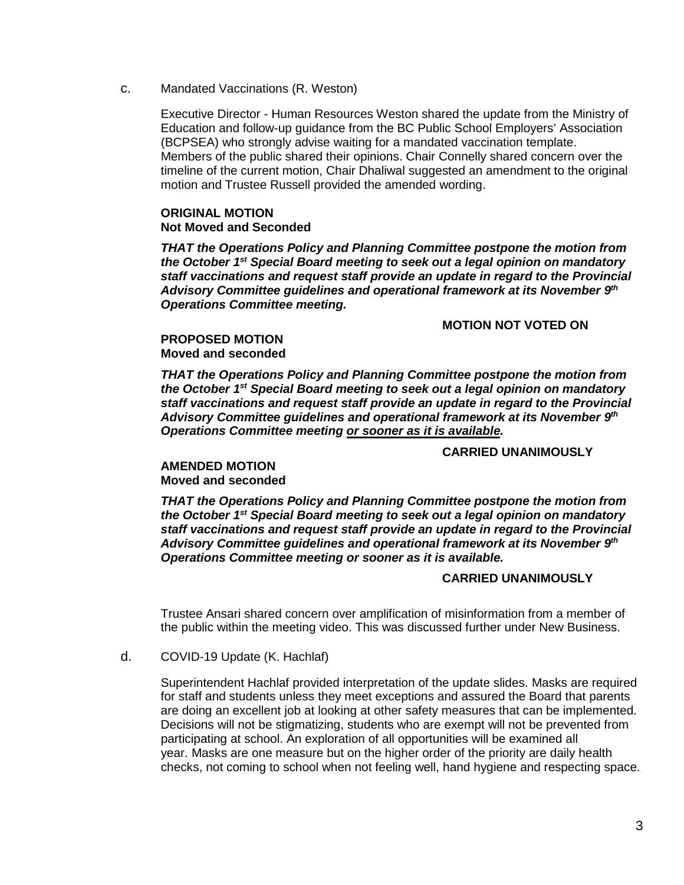c. Mandated Vaccinations (R. Weston)

Executive Director - Human Resources Weston shared the update from the Ministry of Education and follow-up guidance from the BC Public School Employers' Association (BCPSEA) who strongly advise waiting for a mandated vaccination template. Members of the public shared their opinions. Chair Connelly shared concern over the timeline of the current motion, Chair Dhaliwal suggested an amendment to the original motion and Trustee Russell provided the amended wording.

## **ORIGINAL MOTION Not Moved and Seconded**

*THAT the Operations Policy and Planning Committee postpone the motion from the October 1st Special Board meeting to seek out a legal opinion on mandatory staff vaccinations and request staff provide an update in regard to the Provincial Advisory Committee guidelines and operational framework at its November 9th Operations Committee meeting.* 

#### **MOTION NOT VOTED ON**

#### **PROPOSED MOTION Moved and seconded**

*THAT the Operations Policy and Planning Committee postpone the motion from the October 1st Special Board meeting to seek out a legal opinion on mandatory staff vaccinations and request staff provide an update in regard to the Provincial Advisory Committee guidelines and operational framework at its November 9th Operations Committee meeting or sooner as it is available.*

#### **CARRIED UNANIMOUSLY**

# **AMENDED MOTION**

**Moved and seconded**

*THAT the Operations Policy and Planning Committee postpone the motion from the October 1st Special Board meeting to seek out a legal opinion on mandatory staff vaccinations and request staff provide an update in regard to the Provincial Advisory Committee guidelines and operational framework at its November 9th Operations Committee meeting or sooner as it is available.*

#### **CARRIED UNANIMOUSLY**

Trustee Ansari shared concern over amplification of misinformation from a member of the public within the meeting video. This was discussed further under New Business.

d. COVID-19 Update (K. Hachlaf)

Superintendent Hachlaf provided interpretation of the update slides. Masks are required for staff and students unless they meet exceptions and assured the Board that parents are doing an excellent job at looking at other safety measures that can be implemented. Decisions will not be stigmatizing, students who are exempt will not be prevented from participating at school. An exploration of all opportunities will be examined all year. Masks are one measure but on the higher order of the priority are daily health checks, not coming to school when not feeling well, hand hygiene and respecting space.